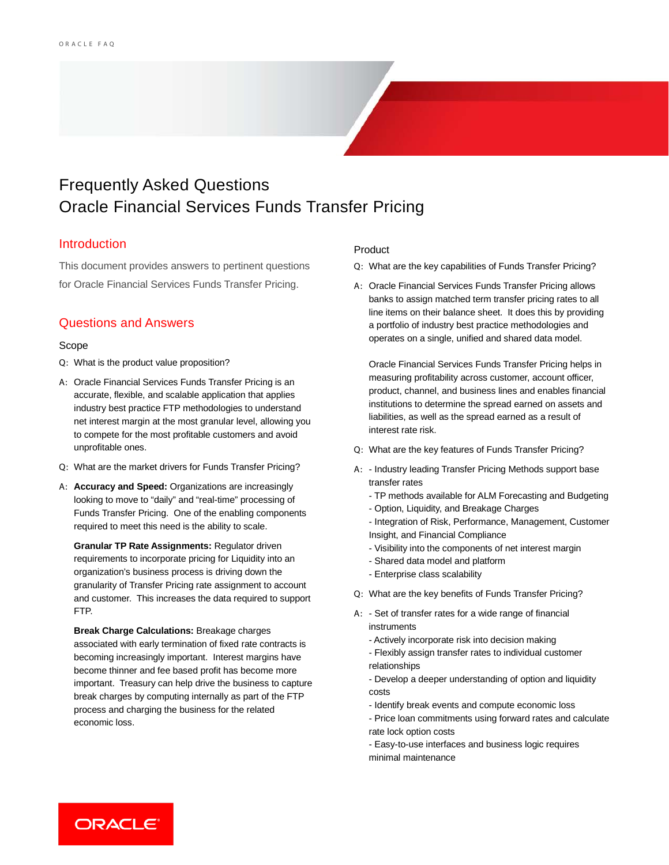# Frequently Asked Questions Oracle Financial Services Funds Transfer Pricing

## Introduction

This document provides answers to pertinent questions for Oracle Financial Services Funds Transfer Pricing.

## Questions and Answers

### Scope

- Q: What is the product value proposition?
- A: Oracle Financial Services Funds Transfer Pricing is an accurate, flexible, and scalable application that applies industry best practice FTP methodologies to understand net interest margin at the most granular level, allowing you to compete for the most profitable customers and avoid unprofitable ones.
- Q: What are the market drivers for Funds Transfer Pricing?
- A: **Accuracy and Speed:** Organizations are increasingly looking to move to "daily" and "real-time" processing of Funds Transfer Pricing. One of the enabling components required to meet this need is the ability to scale.

**Granular TP Rate Assignments:** Regulator driven requirements to incorporate pricing for Liquidity into an organization's business process is driving down the granularity of Transfer Pricing rate assignment to account and customer. This increases the data required to support FTP.

**Break Charge Calculations:** Breakage charges associated with early termination of fixed rate contracts is becoming increasingly important. Interest margins have become thinner and fee based profit has become more important. Treasury can help drive the business to capture break charges by computing internally as part of the FTP process and charging the business for the related economic loss.

### Product

- Q: What are the key capabilities of Funds Transfer Pricing?
- A: Oracle Financial Services Funds Transfer Pricing allows banks to assign matched term transfer pricing rates to all line items on their balance sheet. It does this by providing a portfolio of industry best practice methodologies and operates on a single, unified and shared data model.

Oracle Financial Services Funds Transfer Pricing helps in measuring profitability across customer, account officer, product, channel, and business lines and enables financial institutions to determine the spread earned on assets and liabilities, as well as the spread earned as a result of interest rate risk.

- Q: What are the key features of Funds Transfer Pricing?
- A: Industry leading Transfer Pricing Methods support base transfer rates
	- TP methods available for ALM Forecasting and Budgeting
	- Option, Liquidity, and Breakage Charges
	- Integration of Risk, Performance, Management, Customer Insight, and Financial Compliance
	- Visibility into the components of net interest margin
	- Shared data model and platform
	- Enterprise class scalability
- Q: What are the key benefits of Funds Transfer Pricing?
- A: Set of transfer rates for a wide range of financial instruments
	- Actively incorporate risk into decision making
	- Flexibly assign transfer rates to individual customer relationships
	- Develop a deeper understanding of option and liquidity costs
	- Identify break events and compute economic loss
	- Price loan commitments using forward rates and calculate rate lock option costs
	- Easy-to-use interfaces and business logic requires minimal maintenance

ORACLE<sup>®</sup>